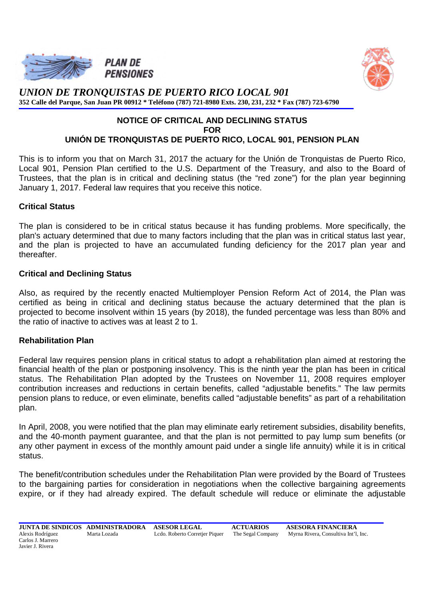



*UNION DE TRONQUISTAS DE PUERTO RICO LOCAL 901* **352 Calle del Parque, San Juan PR 00912 \* Teléfono (787) 721-8980 Exts. 230, 231, 232 \* Fax (787) 723-6790** 

#### **NOTICE OF CRITICAL AND DECLINING STATUS FOR UNIÓN DE TRONQUISTAS DE PUERTO RICO, LOCAL 901, PENSION PLAN**

This is to inform you that on March 31, 2017 the actuary for the Unión de Tronquistas de Puerto Rico, Local 901, Pension Plan certified to the U.S. Department of the Treasury, and also to the Board of Trustees, that the plan is in critical and declining status (the "red zone") for the plan year beginning January 1, 2017. Federal law requires that you receive this notice.

# **Critical Status**

The plan is considered to be in critical status because it has funding problems. More specifically, the plan's actuary determined that due to many factors including that the plan was in critical status last year, and the plan is projected to have an accumulated funding deficiency for the 2017 plan year and thereafter.

### **Critical and Declining Status**

Also, as required by the recently enacted Multiemployer Pension Reform Act of 2014, the Plan was certified as being in critical and declining status because the actuary determined that the plan is projected to become insolvent within 15 years (by 2018), the funded percentage was less than 80% and the ratio of inactive to actives was at least 2 to 1.

### **Rehabilitation Plan**

Federal law requires pension plans in critical status to adopt a rehabilitation plan aimed at restoring the financial health of the plan or postponing insolvency. This is the ninth year the plan has been in critical status. The Rehabilitation Plan adopted by the Trustees on November 11, 2008 requires employer contribution increases and reductions in certain benefits, called "adjustable benefits." The law permits pension plans to reduce, or even eliminate, benefits called "adjustable benefits" as part of a rehabilitation plan.

In April, 2008, you were notified that the plan may eliminate early retirement subsidies, disability benefits, and the 40-month payment guarantee, and that the plan is not permitted to pay lump sum benefits (or any other payment in excess of the monthly amount paid under a single life annuity) while it is in critical status.

The benefit/contribution schedules under the Rehabilitation Plan were provided by the Board of Trustees to the bargaining parties for consideration in negotiations when the collective bargaining agreements expire, or if they had already expired. The default schedule will reduce or eliminate the adjustable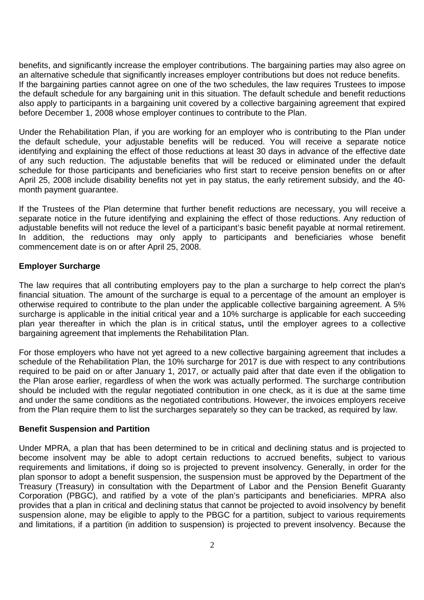benefits, and significantly increase the employer contributions. The bargaining parties may also agree on an alternative schedule that significantly increases employer contributions but does not reduce benefits. If the bargaining parties cannot agree on one of the two schedules, the law requires Trustees to impose the default schedule for any bargaining unit in this situation. The default schedule and benefit reductions also apply to participants in a bargaining unit covered by a collective bargaining agreement that expired before December 1, 2008 whose employer continues to contribute to the Plan.

Under the Rehabilitation Plan, if you are working for an employer who is contributing to the Plan under the default schedule, your adjustable benefits will be reduced. You will receive a separate notice identifying and explaining the effect of those reductions at least 30 days in advance of the effective date of any such reduction. The adjustable benefits that will be reduced or eliminated under the default schedule for those participants and beneficiaries who first start to receive pension benefits on or after April 25, 2008 include disability benefits not yet in pay status, the early retirement subsidy, and the 40 month payment guarantee.

If the Trustees of the Plan determine that further benefit reductions are necessary, you will receive a separate notice in the future identifying and explaining the effect of those reductions. Any reduction of adjustable benefits will not reduce the level of a participant's basic benefit payable at normal retirement. In addition, the reductions may only apply to participants and beneficiaries whose benefit commencement date is on or after April 25, 2008.

## **Employer Surcharge**

The law requires that all contributing employers pay to the plan a surcharge to help correct the plan's financial situation. The amount of the surcharge is equal to a percentage of the amount an employer is otherwise required to contribute to the plan under the applicable collective bargaining agreement. A 5% surcharge is applicable in the initial critical year and a 10% surcharge is applicable for each succeeding plan year thereafter in which the plan is in critical status**,** until the employer agrees to a collective bargaining agreement that implements the Rehabilitation Plan.

For those employers who have not yet agreed to a new collective bargaining agreement that includes a schedule of the Rehabilitation Plan, the 10% surcharge for 2017 is due with respect to any contributions required to be paid on or after January 1, 2017, or actually paid after that date even if the obligation to the Plan arose earlier, regardless of when the work was actually performed. The surcharge contribution should be included with the regular negotiated contribution in one check, as it is due at the same time and under the same conditions as the negotiated contributions. However, the invoices employers receive from the Plan require them to list the surcharges separately so they can be tracked, as required by law.

### **Benefit Suspension and Partition**

Under MPRA, a plan that has been determined to be in critical and declining status and is projected to become insolvent may be able to adopt certain reductions to accrued benefits, subject to various requirements and limitations, if doing so is projected to prevent insolvency. Generally, in order for the plan sponsor to adopt a benefit suspension, the suspension must be approved by the Department of the Treasury (Treasury) in consultation with the Department of Labor and the Pension Benefit Guaranty Corporation (PBGC), and ratified by a vote of the plan's participants and beneficiaries. MPRA also provides that a plan in critical and declining status that cannot be projected to avoid insolvency by benefit suspension alone, may be eligible to apply to the PBGC for a partition, subject to various requirements and limitations, if a partition (in addition to suspension) is projected to prevent insolvency. Because the